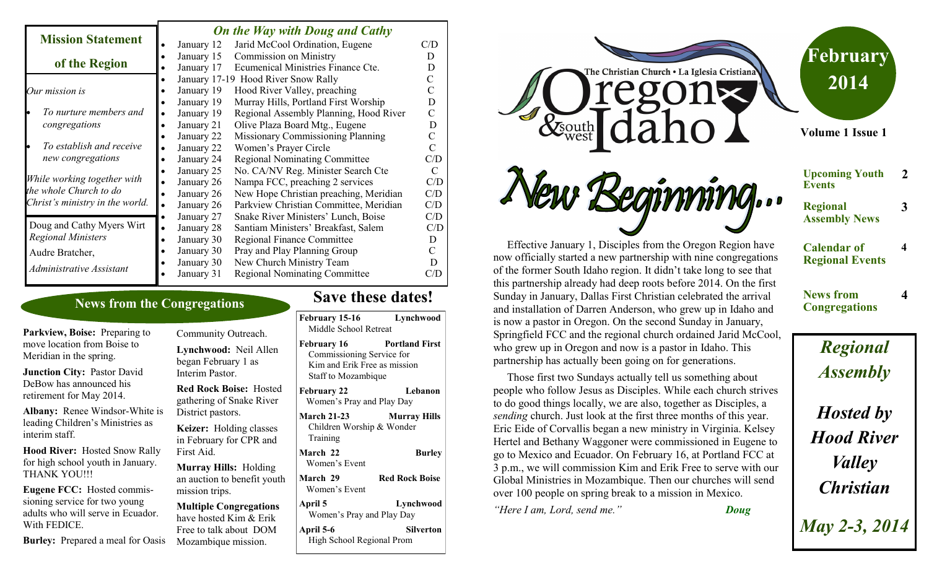#### *On the Way with Doug and Cathy*

|                                 |  | On the frug with Dong and Cathy |                                          |     |  |
|---------------------------------|--|---------------------------------|------------------------------------------|-----|--|
| <b>Mission Statement</b>        |  | January 12                      | Jarid McCool Ordination, Eugene          | C/D |  |
|                                 |  | January 15                      | <b>Commission on Ministry</b>            | D   |  |
| of the Region                   |  | January 17                      | Ecumenical Ministries Finance Cte.       | D   |  |
|                                 |  |                                 | January 17-19 Hood River Snow Rally      |     |  |
| Our mission is                  |  | January 19                      | Hood River Valley, preaching             |     |  |
|                                 |  | January 19                      | Murray Hills, Portland First Worship     | D   |  |
| To nurture members and          |  | January 19                      | Regional Assembly Planning, Hood River   | C   |  |
| congregations                   |  | January 21                      | Olive Plaza Board Mtg., Eugene           | D   |  |
|                                 |  | January 22                      | <b>Missionary Commissioning Planning</b> | C   |  |
| To establish and receive        |  | January 22                      | Women's Prayer Circle                    | C   |  |
| new congregations               |  | January 24                      | <b>Regional Nominating Committee</b>     | C/D |  |
|                                 |  | January 25                      | No. CA/NV Reg. Minister Search Cte       | C   |  |
| While working together with     |  | January 26                      | Nampa FCC, preaching 2 services          | C/D |  |
| the whole Church to do          |  | January 26                      | New Hope Christian preaching, Meridian   | C/D |  |
| Christ's ministry in the world. |  | January 26                      | Parkview Christian Committee, Meridian   | C/D |  |
|                                 |  | January 27                      | Snake River Ministers' Lunch, Boise      | C/D |  |
| Doug and Cathy Myers Wirt       |  | January 28                      | Santiam Ministers' Breakfast, Salem      | C/D |  |
| <b>Regional Ministers</b>       |  | January 30                      | <b>Regional Finance Committee</b>        | D   |  |
| Audre Bratcher,                 |  | January 30                      | Pray and Play Planning Group             | C   |  |
| Administrative Assistant        |  | January 30                      | New Church Ministry Team                 | D   |  |
|                                 |  | January 31                      | <b>Regional Nominating Committee</b>     | C/D |  |
|                                 |  |                                 |                                          |     |  |

### **News from the Congregations**

**Parkview, Boise:** Preparing to move location from Boise to Meridian in the spring.

**Junction City:** Pastor David DeBow has announced his retirement for May 2014.

**Albany:** Renee Windsor-White is leading Children's Ministries as interim staff.

**Hood River:** Hosted Snow Rally for high school youth in January. THANK YOU!!!

**Eugene FCC:** Hosted commissioning service for two young adults who will serve in Ecuador. With FEDICE.

**Burley:** Prepared a meal for Oasis Mozambique mission.

Community Outreach. **Lynchwood:** Neil Allen began February 1 as Interim Pastor. **Red Rock Boise:** Hosted gathering of Snake River District pastors. **Keizer:** Holding classes in February for CPR and First Aid. **Murray Hills:** Holding

an auction to benefit youth mission trips.

**Multiple Congregations**  have hosted Kim & Erik Free to talk about DOM

# **Save these dates!**

| February 15-16<br>Middle School Retreat                                                                | Lynchwood             |
|--------------------------------------------------------------------------------------------------------|-----------------------|
| <b>February 16</b><br>Commissioning Service for<br>Kim and Erik Free as mission<br>Staff to Mozambique | <b>Portland First</b> |
| <b>February 22</b><br>Women's Pray and Play Day                                                        | Lebanon               |
| <b>March 21-23</b><br>Children Worship & Wonder<br>Training                                            | <b>Murray Hills</b>   |
| March 22<br>Women's Event                                                                              | <b>Burley</b>         |
| March 29<br>Women's Event                                                                              | <b>Red Rock Boise</b> |
| April 5<br>Women's Pray and Play Day                                                                   | Lynchwood             |
| April 5-6<br>High School Regional Prom                                                                 | Silverton             |



and installation of Darren Anderson, who grew up in Idaho and is now a pastor in Oregon. On the second Sunday in January, Springfield FCC and the regional church ordained Jarid McCool, who grew up in Oregon and now is a pastor in Idaho. This partnership has actually been going on for generations.

 Those first two Sundays actually tell us something about people who follow Jesus as Disciples. While each church strives

# *Regional Assembly Hosted by*

*Hood River*

*Valley*

*Christian*

*May 2-3, 2014*

to do good things locally, we are also, together as Disciples, a *sending* church. Just look at the first three months of this year. Eric Eide of Corvallis began a new ministry in Virginia. Kelsey Hertel and Bethany Waggoner were commissioned in Eugene to go to Mexico and Ecuador. On February 16, at Portland FCC at 3 p.m., we will commission Kim and Erik Free to serve with our Global Ministries in Mozambique. Then our churches will send over 100 people on spring break to a mission in Mexico.

*"Here I am, Lord, send me." Doug*